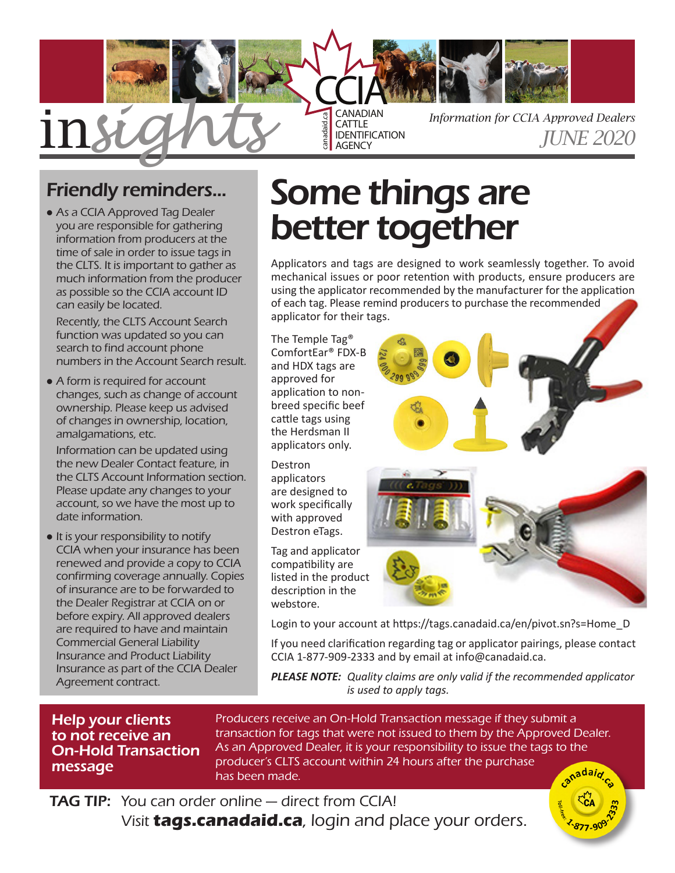

# Friendly reminders...

• As a CCIA Approved Tag Dealer you are responsible for gathering information from producers at the time of sale in order to issue tags in the CLTS. It is important to gather as much information from the producer as possible so the CCIA account ID can easily be located.

Recently, the CLTS Account Search function was updated so you can search to find account phone numbers in the Account Search result.

• A form is required for account changes, such as change of account ownership. Please keep us advised of changes in ownership, location, amalgamations, etc.

Information can be updated using the new Dealer Contact feature, in the CLTS Account Information section. Please update any changes to your account, so we have the most up to date information.

• It is your responsibility to notify CCIA when your insurance has been renewed and provide a copy to CCIA confirming coverage annually. Copies of insurance are to be forwarded to the Dealer Registrar at CCIA on or before expiry. All approved dealers are required to have and maintain Commercial General Liability Insurance and Product Liability Insurance as part of the CCIA Dealer Agreement contract.

# Some things are better together

Applicators and tags are designed to work seamlessly together. To avoid mechanical issues or poor retention with products, ensure producers are using the applicator recommended by the manufacturer for the application of each tag. Please remind producers to purchase the recommended applicator for their tags.

The Temple Tag® ComfortEar® FDX-B and HDX tags are approved for application to nonbreed specific beef cattle tags using the Herdsman II applicators only.

Destron applicators are designed to work specifically with approved Destron eTags.

Tag and applicator compatibility are listed in the product description in the webstore.

Login to your account at https://tags.canadaid.ca/en/pivot.sn?s=Home\_D

If you need clarification regarding tag or applicator pairings, please contact CCIA 1-877-909-2333 and by email at info@canadaid.ca.

*PLEASE NOTE: Quality claims are only valid if the recommended applicator is used to apply tags.*

## Help your clients to not receive an On-Hold Transaction message

Producers receive an On-Hold Transaction message if they submit a transaction for tags that were not issued to them by the Approved Dealer. As an Approved Dealer, it is your responsibility to issue the tags to the producer's CLTS account within 24 hours after the purchase ada*id* has been made.

**TAG TIP:** You can order online – direct from CCIA! Visit **[tags.canadaid.ca](https://tags.canadaid.ca/en/pivot.sn?s=Home_D)**, login and place your orders.